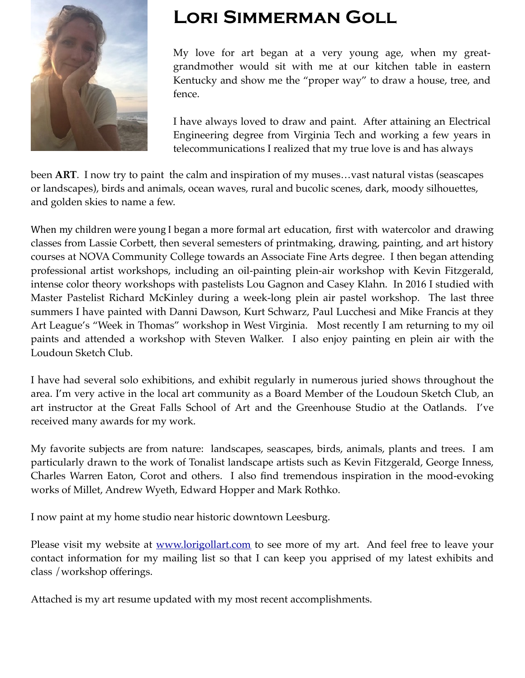

# **Lori Simmerman Goll**

My love for art began at a very young age, when my greatgrandmother would sit with me at our kitchen table in eastern Kentucky and show me the "proper way" to draw a house, tree, and fence.

I have always loved to draw and paint. After attaining an Electrical Engineering degree from Virginia Tech and working a few years in telecommunications I realized that my true love is and has always

been **ART**. I now try to paint the calm and inspiration of my muses…vast natural vistas (seascapes or landscapes), birds and animals, ocean waves, rural and bucolic scenes, dark, moody silhouettes, and golden skies to name a few.

When my children were young I began a more formal art education, first with watercolor and drawing classes from Lassie Corbett, then several semesters of printmaking, drawing, painting, and art history courses at NOVA Community College towards an Associate Fine Arts degree. I then began attending professional artist workshops, including an oil-painting plein-air workshop with Kevin Fitzgerald, intense color theory workshops with pastelists Lou Gagnon and Casey Klahn. In 2016 I studied with Master Pastelist Richard McKinley during a week-long plein air pastel workshop. The last three summers I have painted with Danni Dawson, Kurt Schwarz, Paul Lucchesi and Mike Francis at they Art League's "Week in Thomas" workshop in West Virginia. Most recently I am returning to my oil paints and attended a workshop with Steven Walker. I also enjoy painting en plein air with the Loudoun Sketch Club.

I have had several solo exhibitions, and exhibit regularly in numerous juried shows throughout the area. I'm very active in the local art community as a Board Member of the Loudoun Sketch Club, an art instructor at the Great Falls School of Art and the Greenhouse Studio at the Oatlands. I've received many awards for my work.

My favorite subjects are from nature: landscapes, seascapes, birds, animals, plants and trees. I am particularly drawn to the work of Tonalist landscape artists such as Kevin Fitzgerald, George Inness, Charles Warren Eaton, Corot and others. I also find tremendous inspiration in the mood-evoking works of Millet, Andrew Wyeth, Edward Hopper and Mark Rothko.

I now paint at my home studio near historic downtown Leesburg.

Please visit my website at <u>[www.lorigollart.com](http://www.lorigollart.com)</u> to see more of my art. And feel free to leave your contact information for my mailing list so that I can keep you apprised of my latest exhibits and class /workshop offerings.

Attached is my art resume updated with my most recent accomplishments.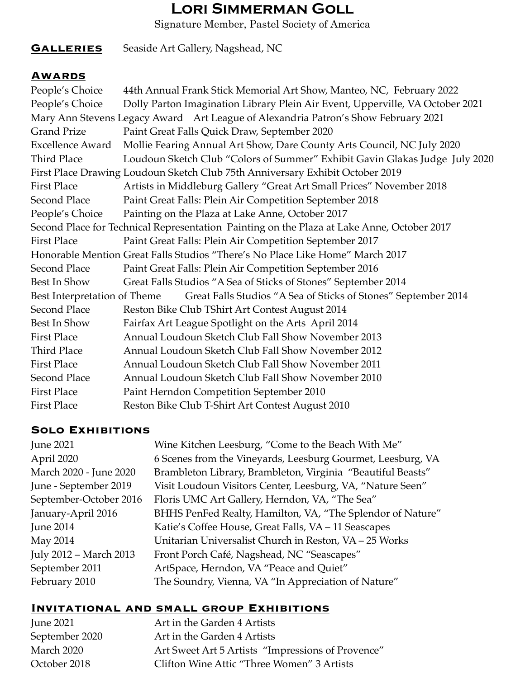# **Lori Simmerman Goll**

Signature Member, Pastel Society of America

# **GALLERIES** Seaside Art Gallery, Nagshead, NC

#### **Awards**

| People's Choice              | 44th Annual Frank Stick Memorial Art Show, Manteo, NC, February 2022                       |
|------------------------------|--------------------------------------------------------------------------------------------|
| People's Choice              | Dolly Parton Imagination Library Plein Air Event, Upperville, VA October 2021              |
|                              | Mary Ann Stevens Legacy Award Art League of Alexandria Patron's Show February 2021         |
| <b>Grand Prize</b>           | Paint Great Falls Quick Draw, September 2020                                               |
| <b>Excellence Award</b>      | Mollie Fearing Annual Art Show, Dare County Arts Council, NC July 2020                     |
| <b>Third Place</b>           | Loudoun Sketch Club "Colors of Summer" Exhibit Gavin Glakas Judge July 2020                |
|                              | First Place Drawing Loudoun Sketch Club 75th Anniversary Exhibit October 2019              |
| <b>First Place</b>           | Artists in Middleburg Gallery "Great Art Small Prices" November 2018                       |
| Second Place                 | Paint Great Falls: Plein Air Competition September 2018                                    |
| People's Choice              | Painting on the Plaza at Lake Anne, October 2017                                           |
|                              | Second Place for Technical Representation Painting on the Plaza at Lake Anne, October 2017 |
| <b>First Place</b>           | Paint Great Falls: Plein Air Competition September 2017                                    |
|                              | Honorable Mention Great Falls Studios "There's No Place Like Home" March 2017              |
| <b>Second Place</b>          | Paint Great Falls: Plein Air Competition September 2016                                    |
| Best In Show                 | Great Falls Studios "A Sea of Sticks of Stones" September 2014                             |
| Best Interpretation of Theme | Great Falls Studios "A Sea of Sticks of Stones" September 2014                             |
| Second Place                 | Reston Bike Club TShirt Art Contest August 2014                                            |
| Best In Show                 | Fairfax Art League Spotlight on the Arts April 2014                                        |
| <b>First Place</b>           | Annual Loudoun Sketch Club Fall Show November 2013                                         |
| Third Place                  | Annual Loudoun Sketch Club Fall Show November 2012                                         |
| <b>First Place</b>           | Annual Loudoun Sketch Club Fall Show November 2011                                         |
| Second Place                 | Annual Loudoun Sketch Club Fall Show November 2010                                         |
| <b>First Place</b>           | Paint Herndon Competition September 2010                                                   |
| <b>First Place</b>           | Reston Bike Club T-Shirt Art Contest August 2010                                           |

#### **Solo Exhibitions**

| <b>June 2021</b>       | Wine Kitchen Leesburg, "Come to the Beach With Me"          |
|------------------------|-------------------------------------------------------------|
| April 2020             | 6 Scenes from the Vineyards, Leesburg Gourmet, Leesburg, VA |
| March 2020 - June 2020 | Brambleton Library, Brambleton, Virginia "Beautiful Beasts" |
| June - September 2019  | Visit Loudoun Visitors Center, Leesburg, VA, "Nature Seen"  |
| September-October 2016 | Floris UMC Art Gallery, Herndon, VA, "The Sea"              |
| January-April 2016     | BHHS PenFed Realty, Hamilton, VA, "The Splendor of Nature"  |
| <b>June 2014</b>       | Katie's Coffee House, Great Falls, VA - 11 Seascapes        |
| May 2014               | Unitarian Universalist Church in Reston, VA - 25 Works      |
| July 2012 - March 2013 | Front Porch Café, Nagshead, NC "Seascapes"                  |
| September 2011         | ArtSpace, Herndon, VA "Peace and Quiet"                     |
| February 2010          | The Soundry, Vienna, VA "In Appreciation of Nature"         |

#### **Invitational and small group Exhibitions**

| <b>June 2021</b> | Art in the Garden 4 Artists                       |
|------------------|---------------------------------------------------|
| September 2020   | Art in the Garden 4 Artists                       |
| March 2020       | Art Sweet Art 5 Artists "Impressions of Provence" |
| October 2018     | Clifton Wine Attic "Three Women" 3 Artists        |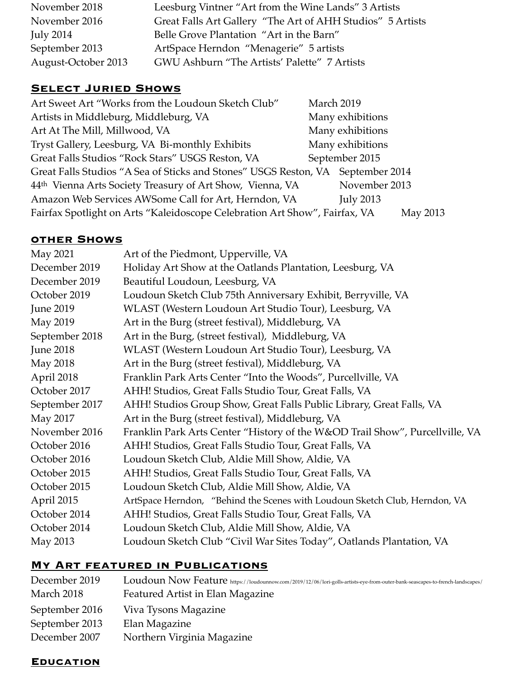| November 2018       | Leesburg Vintner "Art from the Wine Lands" 3 Artists       |
|---------------------|------------------------------------------------------------|
| November 2016       | Great Falls Art Gallery "The Art of AHH Studios" 5 Artists |
| <b>July 2014</b>    | Belle Grove Plantation "Art in the Barn"                   |
| September 2013      | ArtSpace Herndon "Menagerie" 5 artists                     |
| August-October 2013 | GWU Ashburn "The Artists' Palette" 7 Artists               |

#### **Select Juried Shows**

| Art Sweet Art "Works from the Loudoun Sketch Club"                              | March 2019 |                  |          |
|---------------------------------------------------------------------------------|------------|------------------|----------|
| Artists in Middleburg, Middleburg, VA                                           |            | Many exhibitions |          |
| Art At The Mill, Millwood, VA                                                   |            | Many exhibitions |          |
| Tryst Gallery, Leesburg, VA Bi-monthly Exhibits                                 |            | Many exhibitions |          |
| Great Falls Studios "Rock Stars" USGS Reston, VA                                |            | September 2015   |          |
| Great Falls Studios "A Sea of Sticks and Stones" USGS Reston, VA September 2014 |            |                  |          |
| 44th Vienna Arts Society Treasury of Art Show, Vienna, VA                       |            | November 2013    |          |
| Amazon Web Services AWSome Call for Art, Herndon, VA                            |            | <b>July 2013</b> |          |
| Fairfax Spotlight on Arts "Kaleidoscope Celebration Art Show", Fairfax, VA      |            |                  | May 2013 |

### **other Shows**

| May 2021         | Art of the Piedmont, Upperville, VA                                          |
|------------------|------------------------------------------------------------------------------|
| December 2019    | Holiday Art Show at the Oatlands Plantation, Leesburg, VA                    |
| December 2019    | Beautiful Loudoun, Leesburg, VA                                              |
| October 2019     | Loudoun Sketch Club 75th Anniversary Exhibit, Berryville, VA                 |
| <b>June 2019</b> | WLAST (Western Loudoun Art Studio Tour), Leesburg, VA                        |
| May 2019         | Art in the Burg (street festival), Middleburg, VA                            |
| September 2018   | Art in the Burg, (street festival), Middleburg, VA                           |
| <b>June 2018</b> | WLAST (Western Loudoun Art Studio Tour), Leesburg, VA                        |
| <b>May 2018</b>  | Art in the Burg (street festival), Middleburg, VA                            |
| April 2018       | Franklin Park Arts Center "Into the Woods", Purcellville, VA                 |
| October 2017     | AHH! Studios, Great Falls Studio Tour, Great Falls, VA                       |
| September 2017   | AHH! Studios Group Show, Great Falls Public Library, Great Falls, VA         |
| May 2017         | Art in the Burg (street festival), Middleburg, VA                            |
| November 2016    | Franklin Park Arts Center "History of the W&OD Trail Show", Purcellville, VA |
| October 2016     | AHH! Studios, Great Falls Studio Tour, Great Falls, VA                       |
| October 2016     | Loudoun Sketch Club, Aldie Mill Show, Aldie, VA                              |
| October 2015     | AHH! Studios, Great Falls Studio Tour, Great Falls, VA                       |
| October 2015     | Loudoun Sketch Club, Aldie Mill Show, Aldie, VA                              |
| April 2015       | ArtSpace Herndon, "Behind the Scenes with Loudoun Sketch Club, Herndon, VA   |
| October 2014     | AHH! Studios, Great Falls Studio Tour, Great Falls, VA                       |
| October 2014     | Loudoun Sketch Club, Aldie Mill Show, Aldie, VA                              |
| May 2013         | Loudoun Sketch Club "Civil War Sites Today", Oatlands Plantation, VA         |

# **My Art featured in Publications**

| December 2019  | Loudoun Now Feature https://loudounnow.com/2019/12/06/lori-golls-artists-eye-from-outer-bank-seascapes-to-french-landscapes/ |
|----------------|------------------------------------------------------------------------------------------------------------------------------|
| March 2018     | Featured Artist in Elan Magazine                                                                                             |
| September 2016 | Viva Tysons Magazine                                                                                                         |
| September 2013 | Elan Magazine                                                                                                                |
| December 2007  | Northern Virginia Magazine                                                                                                   |

#### **Education**